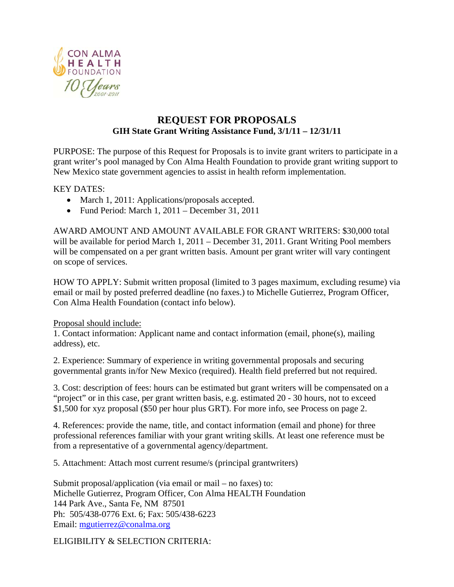

# **REQUEST FOR PROPOSALS GIH State Grant Writing Assistance Fund, 3/1/11 – 12/31/11**

PURPOSE: The purpose of this Request for Proposals is to invite grant writers to participate in a grant writer's pool managed by Con Alma Health Foundation to provide grant writing support to New Mexico state government agencies to assist in health reform implementation.

KEY DATES:

- March 1, 2011: Applications/proposals accepted.
- Fund Period: March 1, 2011 December 31, 2011

AWARD AMOUNT AND AMOUNT AVAILABLE FOR GRANT WRITERS: \$30,000 total will be available for period March 1, 2011 – December 31, 2011. Grant Writing Pool members will be compensated on a per grant written basis. Amount per grant writer will vary contingent on scope of services.

HOW TO APPLY: Submit written proposal (limited to 3 pages maximum, excluding resume) via email or mail by posted preferred deadline (no faxes.) to Michelle Gutierrez, Program Officer, Con Alma Health Foundation (contact info below).

# Proposal should include:

1. Contact information: Applicant name and contact information (email, phone(s), mailing address), etc.

2. Experience: Summary of experience in writing governmental proposals and securing governmental grants in/for New Mexico (required). Health field preferred but not required.

3. Cost: description of fees: hours can be estimated but grant writers will be compensated on a "project" or in this case, per grant written basis, e.g. estimated 20 - 30 hours, not to exceed \$1,500 for xyz proposal (\$50 per hour plus GRT). For more info, see Process on page 2.

4. References: provide the name, title, and contact information (email and phone) for three professional references familiar with your grant writing skills. At least one reference must be from a representative of a governmental agency/department.

5. Attachment: Attach most current resume/s (principal grantwriters)

Submit proposal/application (via email or mail – no faxes) to: Michelle Gutierrez, Program Officer, Con Alma HEALTH Foundation 144 Park Ave., Santa Fe, NM 87501 Ph: 505/438-0776 Ext. 6; Fax: 505/438-6223 Email: [mgutierrez@conalma.org](mailto:mgutierrez@conalma.org)

ELIGIBILITY & SELECTION CRITERIA: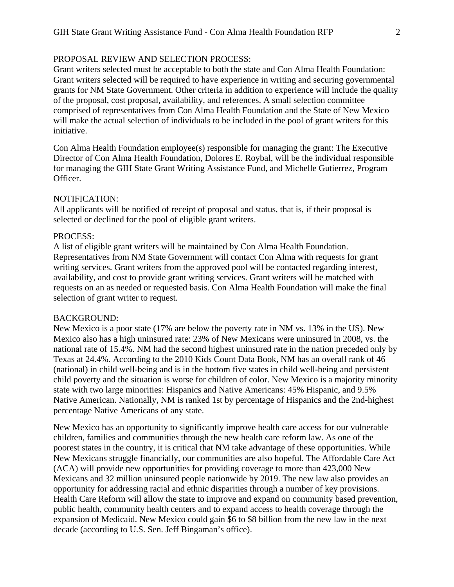# PROPOSAL REVIEW AND SELECTION PROCESS:

Grant writers selected must be acceptable to both the state and Con Alma Health Foundation: Grant writers selected will be required to have experience in writing and securing governmental grants for NM State Government. Other criteria in addition to experience will include the quality of the proposal, cost proposal, availability, and references. A small selection committee comprised of representatives from Con Alma Health Foundation and the State of New Mexico will make the actual selection of individuals to be included in the pool of grant writers for this initiative.

Con Alma Health Foundation employee(s) responsible for managing the grant: The Executive Director of Con Alma Health Foundation, Dolores E. Roybal, will be the individual responsible for managing the GIH State Grant Writing Assistance Fund, and Michelle Gutierrez, Program Officer.

#### NOTIFICATION:

All applicants will be notified of receipt of proposal and status, that is, if their proposal is selected or declined for the pool of eligible grant writers.

# PROCESS:

A list of eligible grant writers will be maintained by Con Alma Health Foundation. Representatives from NM State Government will contact Con Alma with requests for grant writing services. Grant writers from the approved pool will be contacted regarding interest, availability, and cost to provide grant writing services. Grant writers will be matched with requests on an as needed or requested basis. Con Alma Health Foundation will make the final selection of grant writer to request.

#### BACKGROUND:

New Mexico is a poor state (17% are below the poverty rate in NM vs. 13% in the US). New Mexico also has a high uninsured rate: 23% of New Mexicans were uninsured in 2008, vs. the national rate of 15.4%. NM had the second highest uninsured rate in the nation preceded only by Texas at 24.4%. According to the 2010 Kids Count Data Book, NM has an overall rank of 46 (national) in child well-being and is in the bottom five states in child well-being and persistent child poverty and the situation is worse for children of color. New Mexico is a majority minority state with two large minorities: Hispanics and Native Americans: 45% Hispanic, and 9.5% Native American. Nationally, NM is ranked 1st by percentage of Hispanics and the 2nd-highest percentage Native Americans of any state.

New Mexico has an opportunity to significantly improve health care access for our vulnerable children, families and communities through the new health care reform law. As one of the poorest states in the country, it is critical that NM take advantage of these opportunities. While New Mexicans struggle financially, our communities are also hopeful. The Affordable Care Act (ACA) will provide new opportunities for providing coverage to more than 423,000 New Mexicans and 32 million uninsured people nationwide by 2019. The new law also provides an opportunity for addressing racial and ethnic disparities through a number of key provisions. Health Care Reform will allow the state to improve and expand on community based prevention, public health, community health centers and to expand access to health coverage through the expansion of Medicaid. New Mexico could gain \$6 to \$8 billion from the new law in the next decade (according to U.S. Sen. Jeff Bingaman's office).